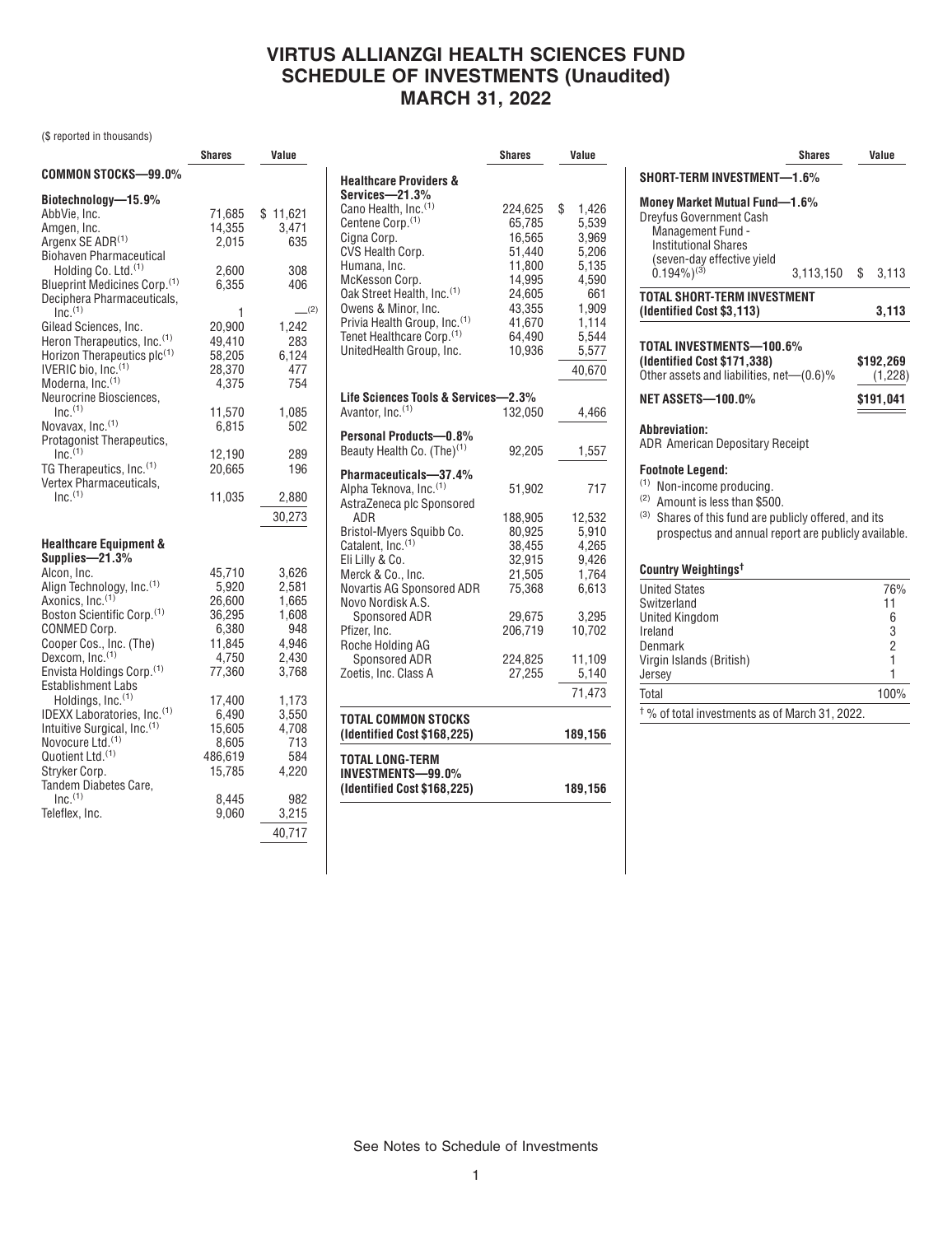### **VIRTUS ALLIANZGI HEALTH SCIENCES FUND SCHEDULE OF INVESTMENTS (Unaudited) MARCH 31, 2022**

(\$ reported in thousands)

|                                          | <b>Shares</b> | Value     |
|------------------------------------------|---------------|-----------|
| COMMON STOCKS-99.0%                      |               |           |
| Biotechnology-15.9%                      |               |           |
| AbbVie, Inc.                             | 71,685        | \$11,621  |
| Amgen, Inc.                              | 14,355        | 3,471     |
| Argenx SE ADR <sup>(1)</sup>             | 2.015         | 635       |
| <b>Biohaven Pharmaceutical</b>           |               |           |
| Holding Co. Ltd. <sup>(1)</sup>          | 2,600         | 308       |
| Blueprint Medicines Corp. <sup>(1)</sup> | 6,355         | 406       |
| Deciphera Pharmaceuticals,               |               |           |
| Inc <sup>(1)</sup>                       | 1             | $-^{(2)}$ |
| Gilead Sciences, Inc.                    | 20,900        | 1,242     |
| Heron Therapeutics, Inc. <sup>(1)</sup>  | 49,410        | 283       |
| Horizon Therapeutics plc(1)              | 58,205        | 6,124     |
| IVERIC bio, Inc. <sup>(1)</sup>          | 28,370        | 477       |
| Moderna, Inc. <sup>(1)</sup>             | 4,375         | 754       |
| Neurocrine Biosciences,                  |               |           |
| Inc <sup>(1)</sup>                       | 11,570        | 1,085     |
| Novavax, Inc. <sup>(1)</sup>             | 6,815         | 502       |
| Protagonist Therapeutics,                |               |           |
| $Inc.$ <sup>(1)</sup>                    | 12,190        | 289       |
| TG Therapeutics, Inc. <sup>(1)</sup>     | 20,665        | 196       |
| Vertex Pharmaceuticals,                  |               |           |
| Inc <sup>(1)</sup>                       | 11,035        | 2,880     |
|                                          |               | 30,273    |
| <b>Healthcare Equipment &amp;</b>        |               |           |
| Supplies-21.3%                           |               |           |
| Alcon, Inc.                              | 45,710        | 3,626     |
| Align Technology, Inc. <sup>(1)</sup>    | 5,920         | 2,581     |
| Axonics, Inc. <sup>(1)</sup>             | 26,600        | 1,665     |
| Boston Scientific Corp. <sup>(1)</sup>   | 36,295        | 1,608     |
| CONMED Corp.                             | 6,380         | 948       |
| Cooper Cos., Inc. (The)                  | 11,845        | 4,946     |
| Dexcom, Inc. <sup>(1)</sup>              | 4,750         | 2,430     |
| Envista Holdings Corp. <sup>(1)</sup>    | 77,360        | 3,768     |
| <b>Establishment Labs</b>                |               |           |
| Holdings, Inc. <sup>(1)</sup>            | 17,400        | 1,173     |
| IDEXX Laboratories, Inc.(1)              | 6.490         | 3,550     |
| Intuitive Surgical, Inc. <sup>(1)</sup>  | 15,605        | 4,708     |
| Novocure Ltd. <sup>(1)</sup>             | 8,605         | 713       |
| Quotient Ltd. <sup>(1)</sup>             | 486,619       | 584       |
| Stryker Corp.                            | 15,785        | 4,220     |
| Tandem Diabetes Care,                    |               |           |
| Inc <sup>(1)</sup>                       | 8,445         | 982       |
| Teleflex, Inc.                           | 9.060         | 3,215     |
|                                          |               | 40,717    |
|                                          |               |           |

|                                          | <b>Shares</b> | Value       |  |
|------------------------------------------|---------------|-------------|--|
| <b>Healthcare Providers &amp;</b>        |               |             |  |
| Services-21.3%                           |               |             |  |
| Cano Health, Inc.(1)                     | 224,625       | \$<br>1,426 |  |
| Centene Corp. <sup>(1)</sup>             | 65,785        | 5,539       |  |
| Cigna Corp.                              | 16,565        | 3,969       |  |
| CVS Health Corp.                         | 51,440        | 5,206       |  |
| Humana, Inc.                             | 11,800        | 5,135       |  |
| McKesson Corp.                           | 14,995        | 4,590       |  |
| Oak Street Health, Inc. <sup>(1)</sup>   | 24,605        | 661         |  |
| Owens & Minor, Inc.                      | 43,355        | 1,909       |  |
| Privia Health Group, Inc. <sup>(1)</sup> | 41,670        | 1,114       |  |
| Tenet Healthcare Corp. <sup>(1)</sup>    | 64,490        | 5,544       |  |
| UnitedHealth Group, Inc.                 | 10,936        | 5,577       |  |
|                                          |               |             |  |
|                                          |               | 40,670      |  |
| Life Sciences Tools & Services—2.3%      |               |             |  |
| Avantor, Inc. <sup>(1)</sup>             | 132,050       | 4,466       |  |
| Personal Products-0.8%                   |               |             |  |
| Beauty Health Co. (The) <sup>(1)</sup>   | 92,205        | 1,557       |  |
| Pharmaceuticals-37.4%                    |               |             |  |
| Alpha Teknova, Inc. <sup>(1)</sup>       | 51,902        | 717         |  |
| AstraZeneca plc Sponsored                |               |             |  |
| ADR                                      | 188,905       | 12,532      |  |
| Bristol-Myers Squibb Co.                 | 80,925        | 5,910       |  |
| Catalent, Inc. <sup>(1)</sup>            | 38,455        | 4,265       |  |
| Eli Lilly & Co.                          | 32,915        | 9,426       |  |
| Merck & Co., Inc.                        | 21,505        | 1,764       |  |
| Novartis AG Sponsored ADR                | 75,368        | 6,613       |  |
| Novo Nordisk A.S.                        |               |             |  |
| Sponsored ADR                            | 29,675        | 3,295       |  |
| Pfizer, Inc.                             | 206.719       | 10,702      |  |
| Roche Holding AG                         |               |             |  |
| Sponsored ADR                            | 224.825       | 11,109      |  |
| Zoetis, Inc. Class A                     | 27,255        | 5,140       |  |
|                                          |               |             |  |
|                                          |               | 71,473      |  |
| TOTAL COMMON STOCKS                      |               |             |  |
| (Identified Cost \$168,225)              |               | 189,156     |  |
| TOTAL LONG-TERM                          |               |             |  |
| INVESTMENTS-99.0%                        |               |             |  |
| (Identified Cost \$168,225)              |               | 189,156     |  |
|                                          |               |             |  |

|                                                                                                                                                                                                                  | Shares    | Value                              |
|------------------------------------------------------------------------------------------------------------------------------------------------------------------------------------------------------------------|-----------|------------------------------------|
| SHORT-TERM INVESTMENT-1.6%                                                                                                                                                                                       |           |                                    |
| Money Market Mutual Fund-1.6%<br><b>Dreyfus Government Cash</b><br>Management Fund -<br><b>Institutional Shares</b><br>(seven-day effective yield                                                                |           |                                    |
| $(0.194\%)^{(3)}$                                                                                                                                                                                                | 3,113,150 | \$<br>3,113                        |
| <b>TOTAL SHORT-TERM INVESTMENT</b><br>(Identified Cost \$3,113)                                                                                                                                                  |           | 3,113                              |
| TOTAL INVESTMENTS—100.6%<br>(Identified Cost \$171,338)<br>Other assets and liabilities, net-(0.6)%                                                                                                              |           | \$192,269<br>(1,228)               |
| <b>NET ASSETS-100.0%</b>                                                                                                                                                                                         |           | \$191,041                          |
| Abbreviation:<br><b>ADR American Depositary Receipt</b>                                                                                                                                                          |           |                                    |
| <b>Footnote Legend:</b><br>(1)<br>Non-income producing.<br>(2)<br>Amount is less than \$500.<br>(3)<br>Shares of this fund are publicly offered, and its<br>prospectus and annual report are publicly available. |           |                                    |
| Country Weightings <sup>t</sup>                                                                                                                                                                                  |           |                                    |
| <b>United States</b><br>Switzerland<br><b>United Kingdom</b><br>Ireland<br>Denmark<br>Virgin Islands (British)                                                                                                   |           | 76%<br>11<br>6<br>3<br>2<br>1<br>1 |
| Jersey<br>Total                                                                                                                                                                                                  |           | 100%                               |

† % of total investments as of March 31, 2022.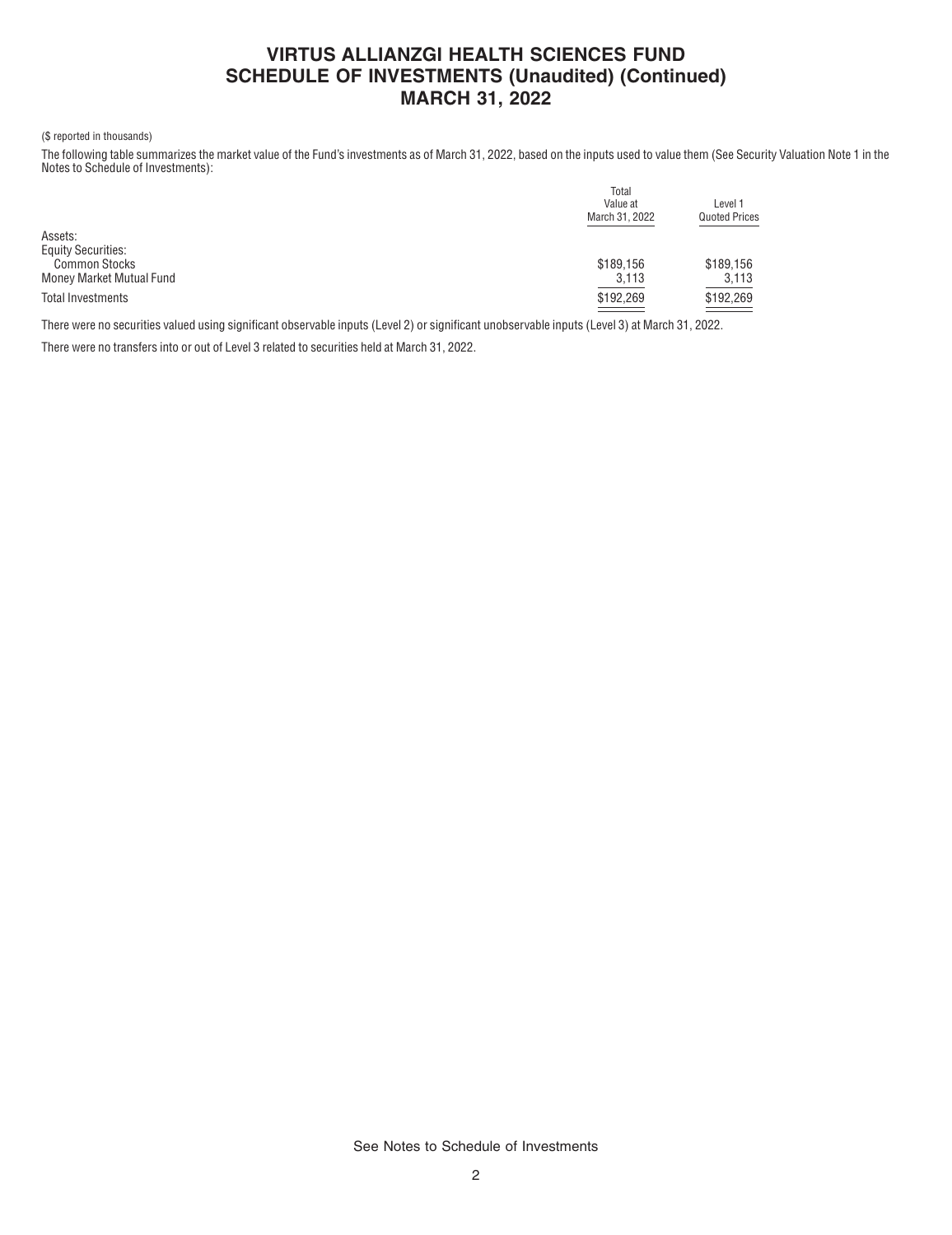# **VIRTUS ALLIANZGI HEALTH SCIENCES FUND SCHEDULE OF INVESTMENTS (Unaudited) (Continued) MARCH 31, 2022**

#### (\$ reported in thousands)

The following table summarizes the market value of the Fund's investments as of March 31, 2022, based on the inputs used to value them (See Security Valuation Note 1 in the Notes to Schedule of Investments):

|                           | Total          |                      |  |  |
|---------------------------|----------------|----------------------|--|--|
|                           | Value at       | Level 1              |  |  |
|                           | March 31, 2022 | <b>Quoted Prices</b> |  |  |
| Assets:                   |                |                      |  |  |
| <b>Equity Securities:</b> |                |                      |  |  |
| <b>Common Stocks</b>      | \$189,156      | \$189,156            |  |  |
| Money Market Mutual Fund  | 3,113          | 3,113                |  |  |
| Total Investments         | \$192,269      | \$192,269            |  |  |
|                           |                |                      |  |  |

There were no securities valued using significant observable inputs (Level 2) or significant unobservable inputs (Level 3) at March 31, 2022.

There were no transfers into or out of Level 3 related to securities held at March 31, 2022.

See Notes to Schedule of Investments